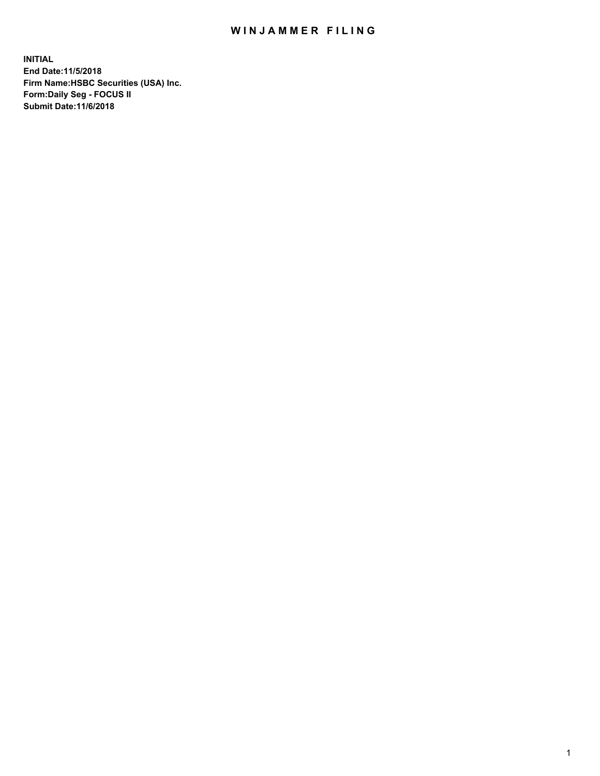## WIN JAMMER FILING

**INITIAL End Date:11/5/2018 Firm Name:HSBC Securities (USA) Inc. Form:Daily Seg - FOCUS II Submit Date:11/6/2018**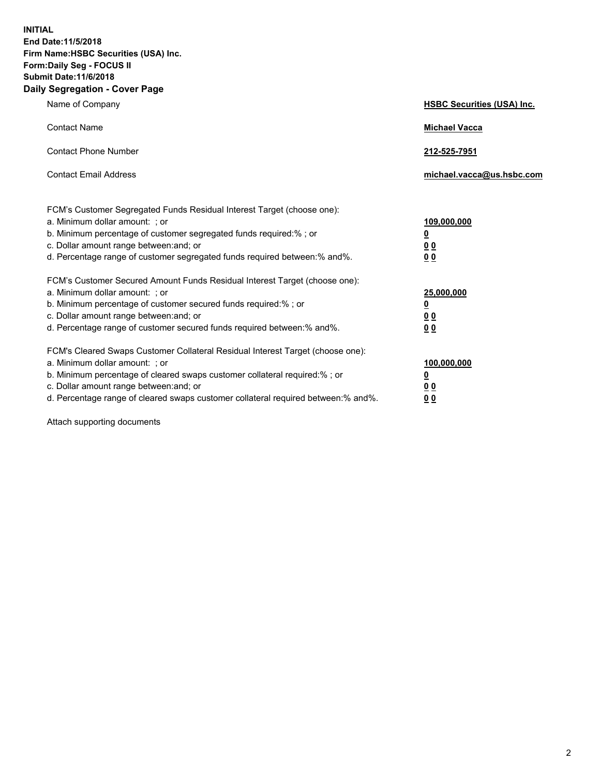**INITIAL End Date:11/5/2018 Firm Name:HSBC Securities (USA) Inc. Form:Daily Seg - FOCUS II Submit Date:11/6/2018 Daily Segregation - Cover Page**

| Name of Company                                                                                                                                                                                                                                                                                                                | <b>HSBC Securities (USA) Inc.</b>                                          |
|--------------------------------------------------------------------------------------------------------------------------------------------------------------------------------------------------------------------------------------------------------------------------------------------------------------------------------|----------------------------------------------------------------------------|
| <b>Contact Name</b>                                                                                                                                                                                                                                                                                                            | <b>Michael Vacca</b>                                                       |
| <b>Contact Phone Number</b>                                                                                                                                                                                                                                                                                                    | 212-525-7951                                                               |
| <b>Contact Email Address</b>                                                                                                                                                                                                                                                                                                   | michael.vacca@us.hsbc.com                                                  |
| FCM's Customer Segregated Funds Residual Interest Target (choose one):<br>a. Minimum dollar amount: ; or<br>b. Minimum percentage of customer segregated funds required:% ; or<br>c. Dollar amount range between: and; or<br>d. Percentage range of customer segregated funds required between:% and%.                         | 109,000,000<br>$\overline{\mathbf{0}}$<br>0 <sub>0</sub><br>0 <sub>0</sub> |
| FCM's Customer Secured Amount Funds Residual Interest Target (choose one):<br>a. Minimum dollar amount: ; or<br>b. Minimum percentage of customer secured funds required:% ; or<br>c. Dollar amount range between: and; or<br>d. Percentage range of customer secured funds required between: % and %.                         | 25,000,000<br>$\overline{\mathbf{0}}$<br>0 <sub>0</sub><br>0 <sub>0</sub>  |
| FCM's Cleared Swaps Customer Collateral Residual Interest Target (choose one):<br>a. Minimum dollar amount: ; or<br>b. Minimum percentage of cleared swaps customer collateral required:% ; or<br>c. Dollar amount range between: and; or<br>d. Percentage range of cleared swaps customer collateral required between:% and%. | 100,000,000<br>$\overline{\mathbf{0}}$<br>0 <sub>0</sub><br>00             |

Attach supporting documents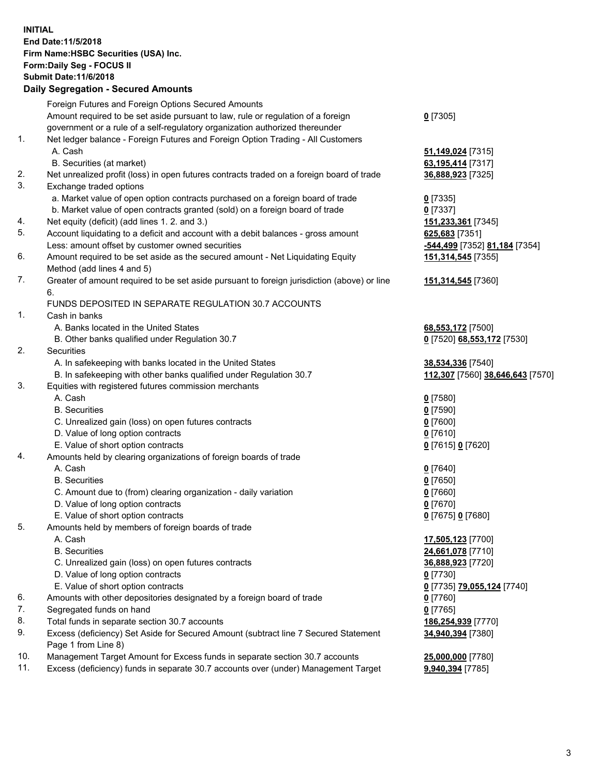**INITIAL End Date:11/5/2018 Firm Name:HSBC Securities (USA) Inc. Form:Daily Seg - FOCUS II Submit Date:11/6/2018 Daily Segregation - Secured Amounts** Foreign Futures and Foreign Options Secured Amounts Amount required to be set aside pursuant to law, rule or regulation of a foreign government or a rule of a self-regulatory organization authorized thereunder **0** [7305] 1. Net ledger balance - Foreign Futures and Foreign Option Trading - All Customers A. Cash **51,149,024** [7315] B. Securities (at market) **63,195,414** [7317] 2. Net unrealized profit (loss) in open futures contracts traded on a foreign board of trade **36,888,923** [7325] 3. Exchange traded options a. Market value of open option contracts purchased on a foreign board of trade **0** [7335] b. Market value of open contracts granted (sold) on a foreign board of trade **0** [7337] 4. Net equity (deficit) (add lines 1. 2. and 3.) **151,233,361** [7345] 5. Account liquidating to a deficit and account with a debit balances - gross amount **625,683** [7351] Less: amount offset by customer owned securities **-544,499** [7352] **81,184** [7354] 6. Amount required to be set aside as the secured amount - Net Liquidating Equity Method (add lines 4 and 5) **151,314,545** [7355] 7. Greater of amount required to be set aside pursuant to foreign jurisdiction (above) or line 6. **151,314,545** [7360] FUNDS DEPOSITED IN SEPARATE REGULATION 30.7 ACCOUNTS 1. Cash in banks A. Banks located in the United States **68,553,172** [7500] B. Other banks qualified under Regulation 30.7 **0** [7520] **68,553,172** [7530] 2. Securities A. In safekeeping with banks located in the United States **38,534,336** [7540] B. In safekeeping with other banks qualified under Regulation 30.7 **112,307** [7560] **38,646,643** [7570] 3. Equities with registered futures commission merchants A. Cash **0** [7580] B. Securities **0** [7590] C. Unrealized gain (loss) on open futures contracts **0** [7600] D. Value of long option contracts **0** [7610] E. Value of short option contracts **0** [7615] **0** [7620] 4. Amounts held by clearing organizations of foreign boards of trade A. Cash **0** [7640] B. Securities **0** [7650] C. Amount due to (from) clearing organization - daily variation **0** [7660] D. Value of long option contracts **0** [7670] E. Value of short option contracts **0** [7675] **0** [7680] 5. Amounts held by members of foreign boards of trade A. Cash **17,505,123** [7700] B. Securities **24,661,078** [7710]

 C. Unrealized gain (loss) on open futures contracts **36,888,923** [7720] D. Value of long option contracts **0** [7730] E. Value of short option contracts **0** [7735] **79,055,124** [7740] 6. Amounts with other depositories designated by a foreign board of trade **0** [7760] 7. Segregated funds on hand **0** [7765] 8. Total funds in separate section 30.7 accounts **186,254,939** [7770] **34,940,394** [7380]

## 10. Management Target Amount for Excess funds in separate section 30.7 accounts **25,000,000** [7780]

Page 1 from Line 8)

11. Excess (deficiency) funds in separate 30.7 accounts over (under) Management Target **9,940,394** [7785]

9. Excess (deficiency) Set Aside for Secured Amount (subtract line 7 Secured Statement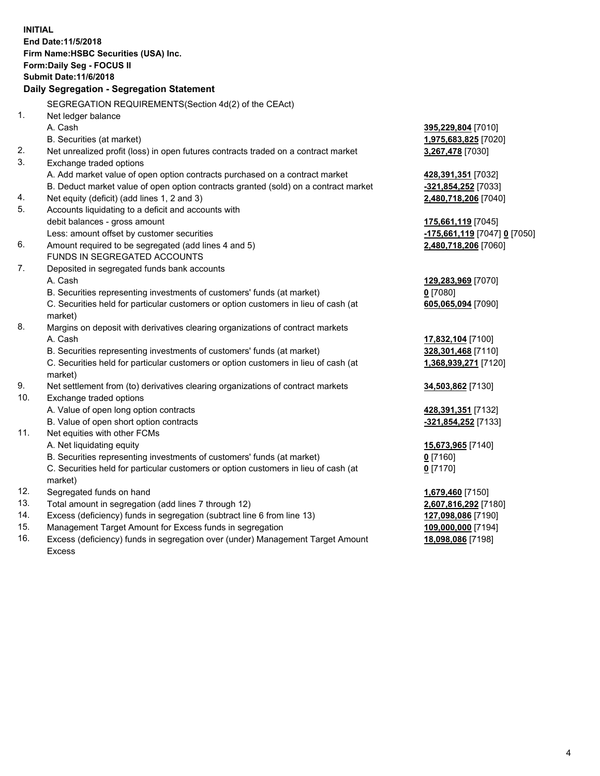|     | <b>INITIAL</b><br>End Date: 11/5/2018<br>Firm Name: HSBC Securities (USA) Inc.<br><b>Form:Daily Seg - FOCUS II</b> |                                                        |
|-----|--------------------------------------------------------------------------------------------------------------------|--------------------------------------------------------|
|     | <b>Submit Date:11/6/2018</b>                                                                                       |                                                        |
|     | Daily Segregation - Segregation Statement                                                                          |                                                        |
|     | SEGREGATION REQUIREMENTS (Section 4d(2) of the CEAct)                                                              |                                                        |
| 1.  | Net ledger balance                                                                                                 |                                                        |
|     | A. Cash                                                                                                            | 395,229,804 [7010]                                     |
|     | B. Securities (at market)                                                                                          | <u>1,975,683,825</u> [7020]                            |
| 2.  | Net unrealized profit (loss) in open futures contracts traded on a contract market                                 | 3,267,478 [7030]                                       |
| 3.  | Exchange traded options                                                                                            |                                                        |
|     | A. Add market value of open option contracts purchased on a contract market                                        | 428,391,351 [7032]                                     |
|     | B. Deduct market value of open option contracts granted (sold) on a contract market                                | <u>-321,854,252</u> [7033]                             |
| 4.  | Net equity (deficit) (add lines 1, 2 and 3)                                                                        | 2,480,718,206 [7040]                                   |
| 5.  | Accounts liquidating to a deficit and accounts with                                                                |                                                        |
|     | debit balances - gross amount                                                                                      | 175,661,119 [7045]                                     |
|     | Less: amount offset by customer securities                                                                         | <mark>-175,661,119</mark> [7047] <mark>0</mark> [7050] |
| 6.  | Amount required to be segregated (add lines 4 and 5)                                                               | 2,480,718,206 [7060]                                   |
|     | FUNDS IN SEGREGATED ACCOUNTS                                                                                       |                                                        |
| 7.  | Deposited in segregated funds bank accounts                                                                        |                                                        |
|     | A. Cash                                                                                                            | 129,283,969 [7070]                                     |
|     | B. Securities representing investments of customers' funds (at market)                                             | $0$ [7080]                                             |
|     | C. Securities held for particular customers or option customers in lieu of cash (at<br>market)                     | 605,065,094 [7090]                                     |
| 8.  | Margins on deposit with derivatives clearing organizations of contract markets                                     |                                                        |
|     | A. Cash                                                                                                            | 17,832,104 [7100]                                      |
|     | B. Securities representing investments of customers' funds (at market)                                             | 328,301,468 [7110]                                     |
|     | C. Securities held for particular customers or option customers in lieu of cash (at                                | 1,368,939,271 [7120]                                   |
|     | market)                                                                                                            |                                                        |
| 9.  | Net settlement from (to) derivatives clearing organizations of contract markets                                    | 34,503,862 [7130]                                      |
| 10. | Exchange traded options                                                                                            |                                                        |
|     | A. Value of open long option contracts                                                                             | <u>428,391,351</u> [7132]                              |
|     | B. Value of open short option contracts                                                                            | -321,854,252 [7133]                                    |
| 11. | Net equities with other FCMs                                                                                       |                                                        |
|     | A. Net liquidating equity                                                                                          | 15,673,965 [7140]                                      |
|     | B. Securities representing investments of customers' funds (at market)                                             | 0 <sup>[7160]</sup>                                    |
|     | C. Securities held for particular customers or option customers in lieu of cash (at                                | $0$ [7170]                                             |
|     | market)                                                                                                            |                                                        |
| 12. | Segregated funds on hand                                                                                           | 1,679,460 [7150]                                       |
| 13. | Total amount in segregation (add lines 7 through 12)                                                               | 2,607,816,292 [7180]                                   |
| 14. | Excess (deficiency) funds in segregation (subtract line 6 from line 13)                                            | 127,098,086 [7190]                                     |
| 15. | Management Target Amount for Excess funds in segregation                                                           | 109,000,000 [7194]                                     |

16. Excess (deficiency) funds in segregation over (under) Management Target Amount Excess

**18,098,086** [7198]